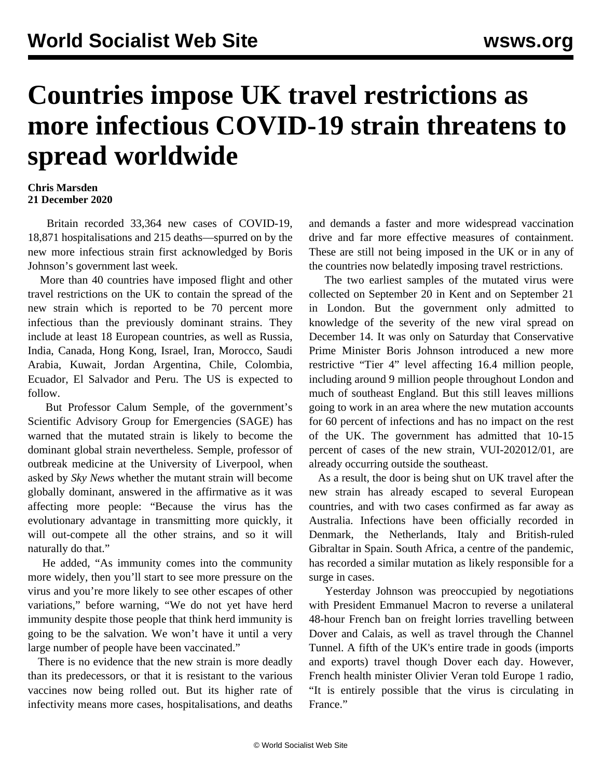## **Countries impose UK travel restrictions as more infectious COVID-19 strain threatens to spread worldwide**

## **Chris Marsden 21 December 2020**

 Britain recorded 33,364 new cases of COVID-19, 18,871 hospitalisations and 215 deaths—spurred on by the new more infectious strain first acknowledged by Boris Johnson's government last week.

 More than 40 countries have imposed flight and other travel restrictions on the UK to contain the spread of the new strain which is reported to be 70 percent more infectious than the previously dominant strains. They include at least 18 European countries, as well as Russia, India, Canada, Hong Kong, Israel, Iran, Morocco, Saudi Arabia, Kuwait, Jordan Argentina, Chile, Colombia, Ecuador, El Salvador and Peru. The US is expected to follow.

 But Professor Calum Semple, of the government's Scientific Advisory Group for Emergencies (SAGE) has warned that the mutated strain is likely to become the dominant global strain nevertheless. Semple, professor of outbreak medicine at the University of Liverpool, when asked by *Sky News* whether the mutant strain will become globally dominant, answered in the affirmative as it was affecting more people: "Because the virus has the evolutionary advantage in transmitting more quickly, it will out-compete all the other strains, and so it will naturally do that."

 He added, "As immunity comes into the community more widely, then you'll start to see more pressure on the virus and you're more likely to see other escapes of other variations," before warning, "We do not yet have herd immunity despite those people that think herd immunity is going to be the salvation. We won't have it until a very large number of people have been vaccinated."

 There is no evidence that the new strain is more deadly than its predecessors, or that it is resistant to the various vaccines now being rolled out. But its higher rate of infectivity means more cases, hospitalisations, and deaths

and demands a faster and more widespread vaccination drive and far more effective measures of containment. These are still not being imposed in the UK or in any of the countries now belatedly imposing travel restrictions.

 The two earliest samples of the mutated virus were collected on September 20 in Kent and on September 21 in London. But the government only admitted to knowledge of the severity of the new viral spread on December 14. It was only on Saturday that Conservative Prime Minister Boris Johnson introduced a new more restrictive "Tier 4" level affecting 16.4 million people, including around 9 million people throughout London and much of southeast England. But this still leaves millions going to work in an area where the new mutation accounts for 60 percent of infections and has no impact on the rest of the UK. The government has admitted that 10-15 percent of cases of the new strain, VUI-202012/01, are already occurring outside the southeast.

 As a result, the door is being shut on UK travel after the new strain has already escaped to several European countries, and with two cases confirmed as far away as Australia. Infections have been officially recorded in Denmark, the Netherlands, Italy and British-ruled Gibraltar in Spain. South Africa, a centre of the pandemic, has recorded a similar mutation as likely responsible for a surge in cases.

 Yesterday Johnson was preoccupied by negotiations with President Emmanuel Macron to reverse a unilateral 48-hour French ban on freight lorries travelling between Dover and Calais, as well as travel through the Channel Tunnel. A fifth of the UK's entire trade in goods (imports and exports) travel though Dover each day. However, French health minister Olivier Veran told Europe 1 radio, "It is entirely possible that the virus is circulating in France."